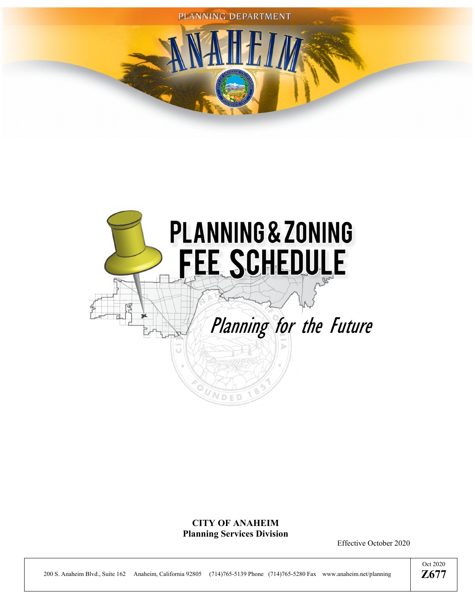



## **CITY OF ANAHEIM Planning Services Division**

Effective October 2020

200 S. Anaheim Blvd., Suite 162 Anaheim, California 92805 (714)765-5139 Phone (714)765-5280 Fax www.anaheim.net/planning